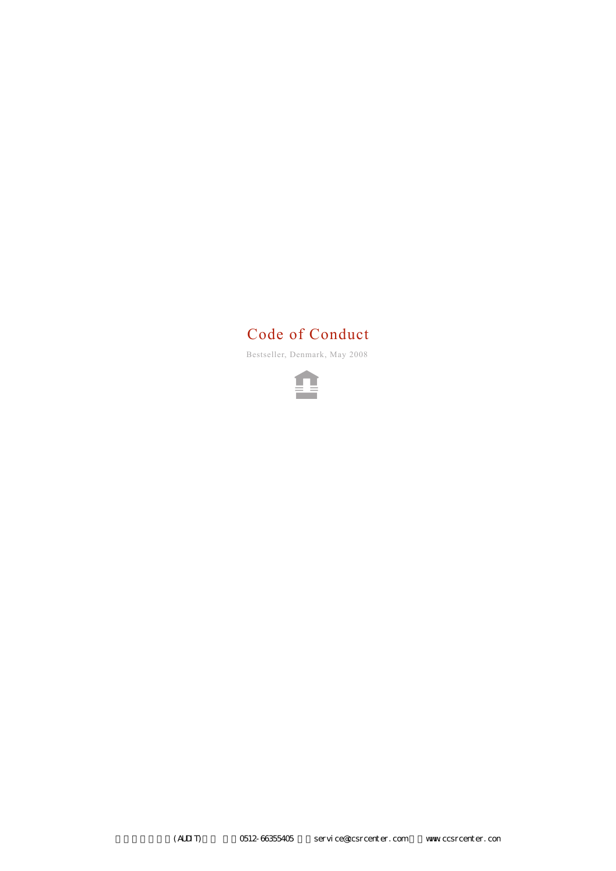# Code of Conduct

Bestseller, Denmark, May 2008

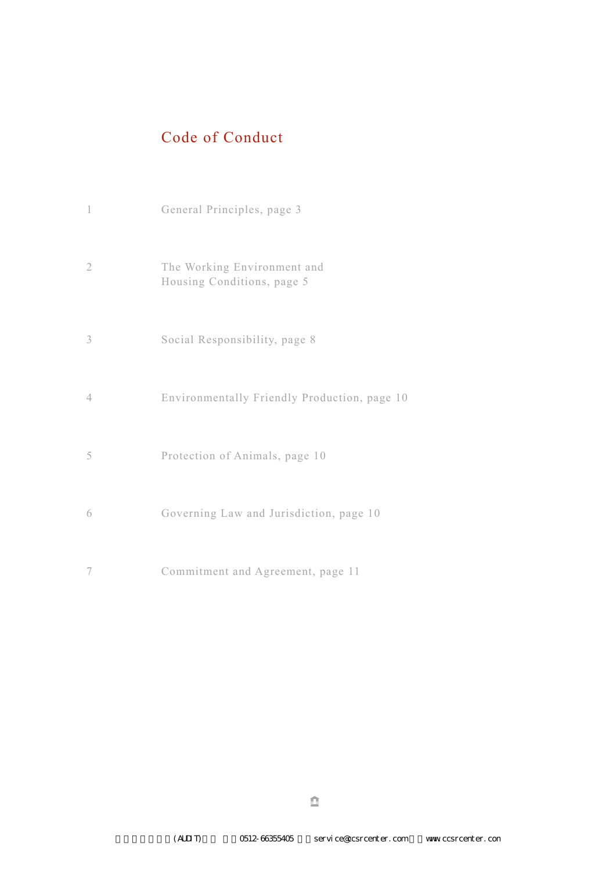# Code of Conduct

| $\mathbf{1}$   | General Principles, page 3                                |
|----------------|-----------------------------------------------------------|
| $\overline{2}$ | The Working Environment and<br>Housing Conditions, page 5 |
| 3              | Social Responsibility, page 8                             |
| $\overline{4}$ | Environmentally Friendly Production, page 10              |
| 5              | Protection of Animals, page 10                            |
| 6              | Governing Law and Jurisdiction, page 10                   |
| 7              | Commitment and Agreement, page 11                         |

de la construcción de la construcción de la construcción de la construcción de la construcción de la construcción de la construcción de la construcción de la construcción de la construcción de la construcción de la constru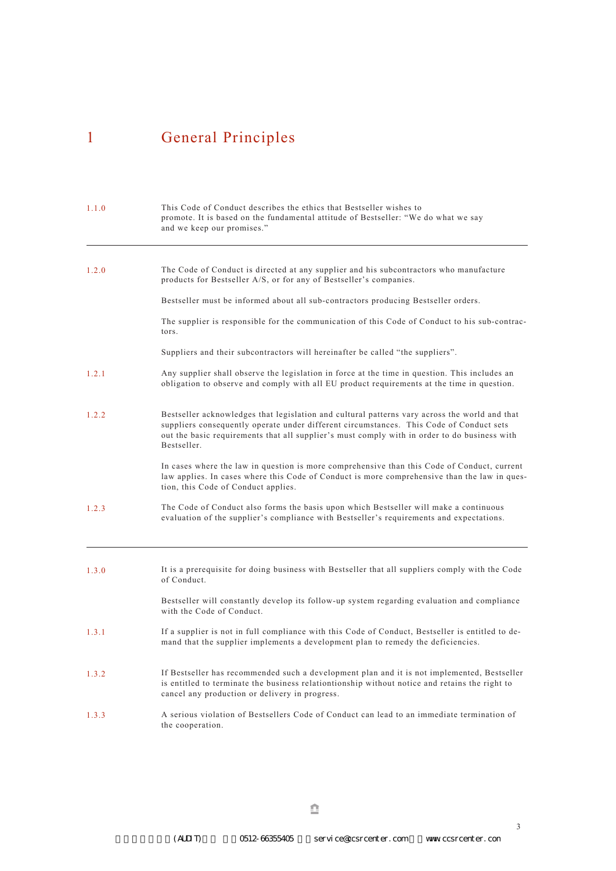# 1 General Principles

| 1.1.0 | This Code of Conduct describes the ethics that Bestseller wishes to<br>promote. It is based on the fundamental attitude of Bestseller: "We do what we say<br>and we keep our promises."                                                                                                                 |
|-------|---------------------------------------------------------------------------------------------------------------------------------------------------------------------------------------------------------------------------------------------------------------------------------------------------------|
| 1.2.0 | The Code of Conduct is directed at any supplier and his subcontractors who manufacture<br>products for Bestseller A/S, or for any of Bestseller's companies.                                                                                                                                            |
|       | Bestseller must be informed about all sub-contractors producing Bestseller orders.                                                                                                                                                                                                                      |
|       | The supplier is responsible for the communication of this Code of Conduct to his sub-contrac-<br>tors.                                                                                                                                                                                                  |
|       | Suppliers and their subcontractors will hereinafter be called "the suppliers".                                                                                                                                                                                                                          |
| 1.2.1 | Any supplier shall observe the legislation in force at the time in question. This includes an<br>obligation to observe and comply with all EU product requirements at the time in question.                                                                                                             |
| 1.2.2 | Bestseller acknowledges that legislation and cultural patterns vary across the world and that<br>suppliers consequently operate under different circumstances. This Code of Conduct sets<br>out the basic requirements that all supplier's must comply with in order to do business with<br>Bestseller. |
|       | In cases where the law in question is more comprehensive than this Code of Conduct, current<br>law applies. In cases where this Code of Conduct is more comprehensive than the law in ques-<br>tion, this Code of Conduct applies.                                                                      |
| 1.2.3 | The Code of Conduct also forms the basis upon which Bestseller will make a continuous<br>evaluation of the supplier's compliance with Bestseller's requirements and expectations.                                                                                                                       |
| 1.3.0 | It is a prerequisite for doing business with Bestseller that all suppliers comply with the Code<br>of Conduct                                                                                                                                                                                           |
|       | Bestseller will constantly develop its follow-up system regarding evaluation and compliance<br>with the Code of Conduct.                                                                                                                                                                                |
| 1.3.1 | If a supplier is not in full compliance with this Code of Conduct, Bestseller is entitled to de-<br>mand that the supplier implements a development plan to remedy the deficiencies.                                                                                                                    |
| 1.3.2 | If Bestseller has recommended such a development plan and it is not implemented, Bestseller<br>is entitled to terminate the business relationtionship without notice and retains the right to<br>cancel any production or delivery in progress.                                                         |
| 1.3.3 | A serious violation of Bestsellers Code of Conduct can lead to an immediate termination of<br>the cooperation.                                                                                                                                                                                          |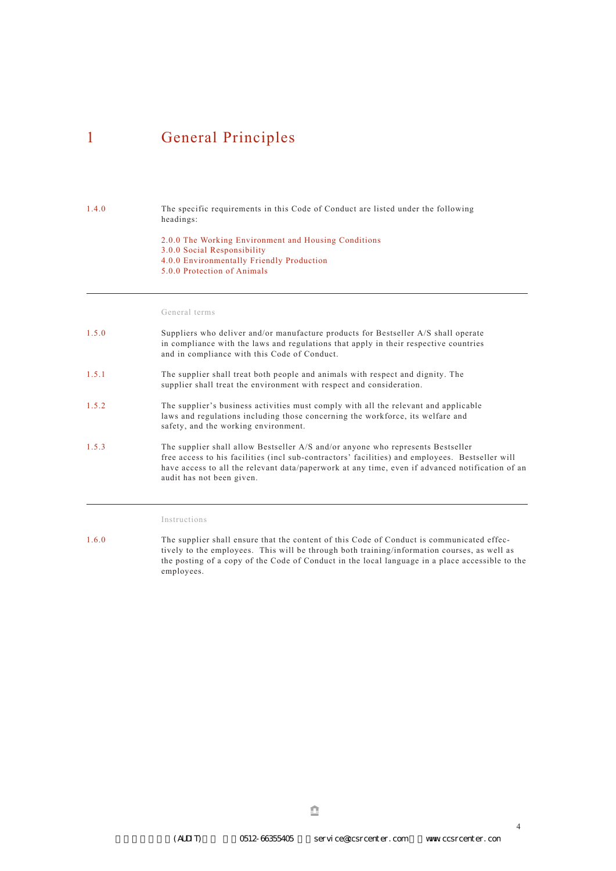### 1 General Principles

#### 1.4.0

The specific requirements in this Code of Conduct are listed under the following headings:

2.0.0 The Working Environment and Housing Conditions 3.0.0 Social Responsibility 4.0.0 Environmentally Friendly Production 5.0.0 Protection of Animals

#### General terms

- 1.5.0 Suppliers who deliver and/or manufacture products for Bestseller A/S shall operate in compliance with the laws and regulations that apply in their respective countries and in compliance with this Code of Conduct.
- 1.5.1 The supplier shall treat both people and animals with respect and dignity. The supplier shall treat the environment with respect and consideration.
- 1.5.2 The supplier's business activities must comply with all the relevant and applicable laws and regulations including those concerning the workforce, its welfare and safety, and the working environment.
- 1.5.3 The supplier shall allow Bestseller A/S and/or anyone who represents Bestseller free access to his facilities (incl sub-contractors' facilities) and employees. Bestseller will have access to all the relevant data/paperwork at any time, even if advanced notification of an audit has not been given.

Instructions

1.6.0 The supplier shall ensure that the content of this Code of Conduct is communicated effectively to the employees. This will be through both training/information courses, as well as the posting of a copy of the Code of Conduct in the local language in a place accessible to the employees.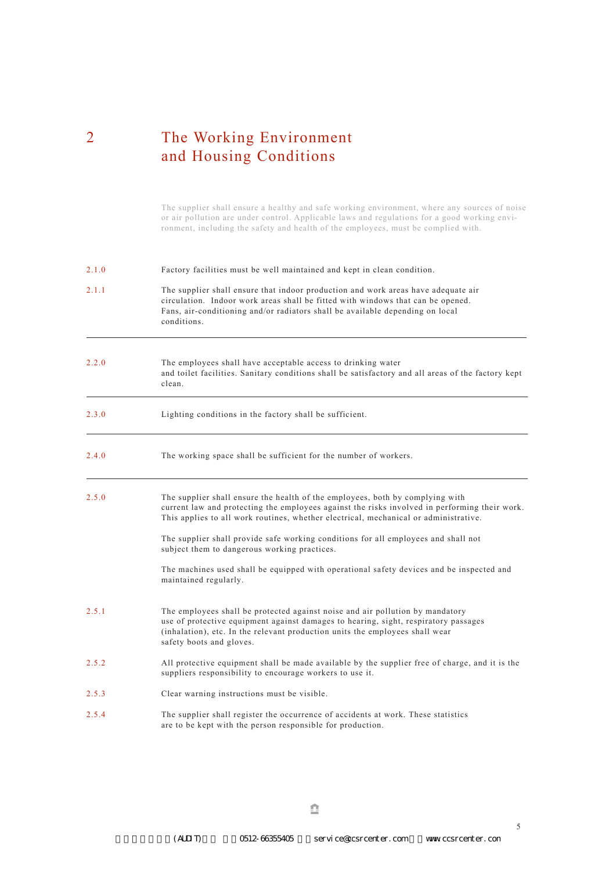## 2 The Working Environment and Housing Conditions

The supplier shall ensure a healthy and safe working environment, where any sources of noise or air pollution are under control. Applicable laws and regulations for a good working environment, including the safety and health of the employees, must be complied with.

| 2.1.0 | Factory facilities must be well maintained and kept in clean condition.                                                                                                                                                                                                          |
|-------|----------------------------------------------------------------------------------------------------------------------------------------------------------------------------------------------------------------------------------------------------------------------------------|
| 2.1.1 | The supplier shall ensure that indoor production and work areas have adequate air<br>circulation. Indoor work areas shall be fitted with windows that can be opened.<br>Fans, air-conditioning and/or radiators shall be available depending on local<br>conditions.             |
| 2.2.0 | The employees shall have acceptable access to drinking water<br>and toilet facilities. Sanitary conditions shall be satisfactory and all areas of the factory kept<br>clean.                                                                                                     |
| 2.3.0 | Lighting conditions in the factory shall be sufficient.                                                                                                                                                                                                                          |
| 2.4.0 | The working space shall be sufficient for the number of workers.                                                                                                                                                                                                                 |
| 2.5.0 | The supplier shall ensure the health of the employees, both by complying with<br>current law and protecting the employees against the risks involved in performing their work.<br>This applies to all work routines, whether electrical, mechanical or administrative.           |
|       | The supplier shall provide safe working conditions for all employees and shall not<br>subject them to dangerous working practices.                                                                                                                                               |
|       | The machines used shall be equipped with operational safety devices and be inspected and<br>maintained regularly.                                                                                                                                                                |
| 2.5.1 | The employees shall be protected against noise and air pollution by mandatory<br>use of protective equipment against damages to hearing, sight, respiratory passages<br>(inhalation), etc. In the relevant production units the employees shall wear<br>safety boots and gloves. |
| 2.5.2 | All protective equipment shall be made available by the supplier free of charge, and it is the<br>suppliers responsibility to encourage workers to use it.                                                                                                                       |
| 2.5.3 | Clear warning instructions must be visible.                                                                                                                                                                                                                                      |
| 2.5.4 | The supplier shall register the occurrence of accidents at work. These statistics<br>are to be kept with the person responsible for production.                                                                                                                                  |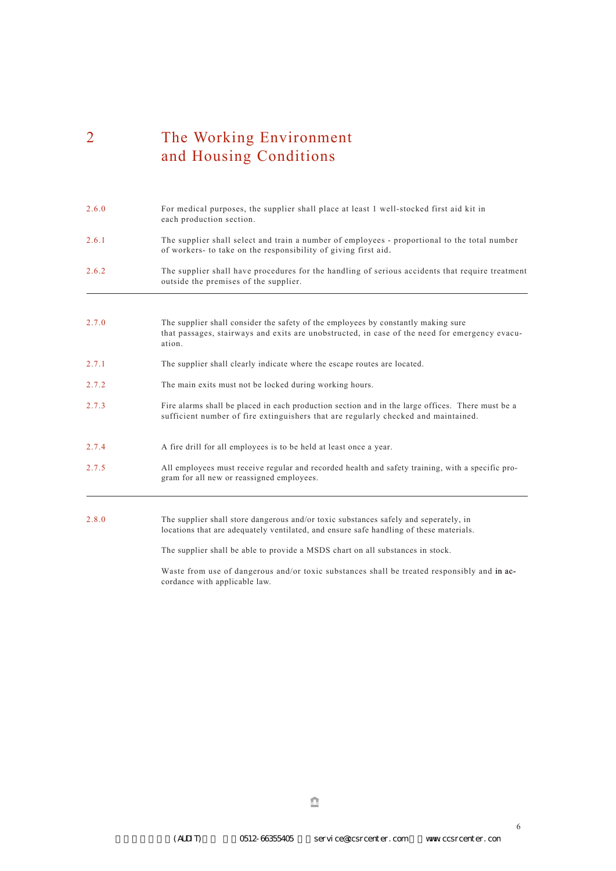# 2 The Working Environment and Housing Conditions

| 2.6.0 | For medical purposes, the supplier shall place at least 1 well-stocked first aid kit in<br>each production section.                                                                          |
|-------|----------------------------------------------------------------------------------------------------------------------------------------------------------------------------------------------|
| 2.6.1 | The supplier shall select and train a number of employees - proportional to the total number<br>of workers- to take on the responsibility of giving first aid.                               |
| 2.6.2 | The supplier shall have procedures for the handling of serious accidents that require treatment<br>outside the premises of the supplier.                                                     |
| 2.7.0 | The supplier shall consider the safety of the employees by constantly making sure<br>that passages, stairways and exits are unobstructed, in case of the need for emergency evacu-<br>ation. |
| 2.7.1 | The supplier shall clearly indicate where the escape routes are located.                                                                                                                     |
| 2.7.2 | The main exits must not be locked during working hours.                                                                                                                                      |
| 2.7.3 | Fire alarms shall be placed in each production section and in the large offices. There must be a<br>sufficient number of fire extinguishers that are regularly checked and maintained.       |
| 2.7.4 | A fire drill for all employees is to be held at least once a year.                                                                                                                           |
| 2.7.5 | All employees must receive regular and recorded health and safety training, with a specific pro-<br>gram for all new or reassigned employees.                                                |
| 2.8.0 | The supplier shall store dangerous and/or toxic substances safely and seperately, in<br>locations that are adequately ventilated, and ensure safe handling of these materials.               |
|       | The supplier shall be able to provide a MSDS chart on all substances in stock.                                                                                                               |

Waste from use of dangerous and/or toxic substances shall be treated responsibly and in accordance with applicable law.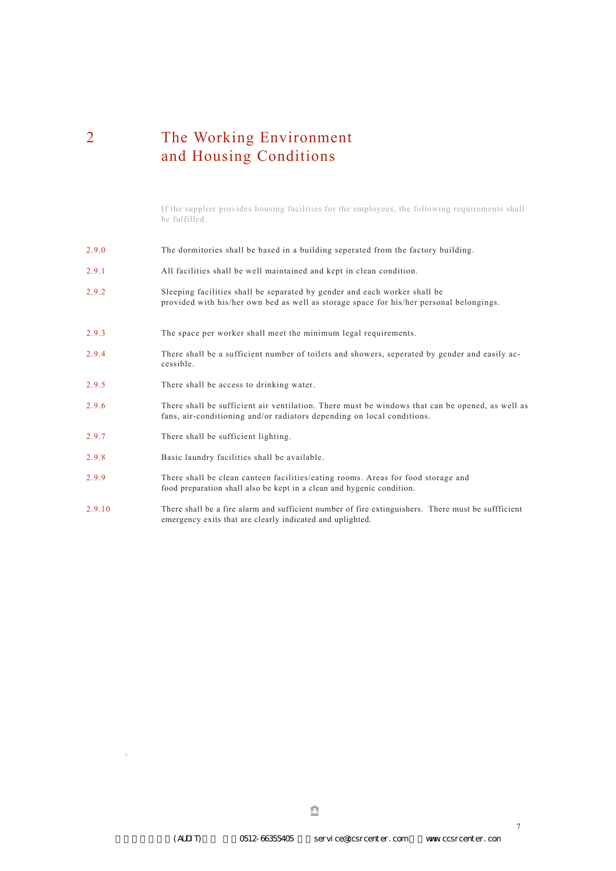### 2 The Working Environment and Housing Conditions

If the supplier provides housing facilities for the employees, the following requirements shall be fulfilled.

- 2.9.0 The dormitories shall be based in a building seperated from the factory building.
- 2.9.1 All facilities shall be well maintained and kept in clean condition.
- 2.9.2 Sleeping facilities shall be separated by gender and each worker shall be provided with his/her own bed as well as storage space for his/her personal belongings.
- 2.9.3 The space per worker shall meet the minimum legal requirements.
- 2.9.4 There shall be a sufficient number of toilets and showers, seperated by gender and easily accessible.
- 2.9.5 There shall be access to drinking water.
- 2.9.6 There shall be sufficient air ventilation. There must be windows that can be opened, as well as fans, air-conditioning and/or radiators depending on local conditions.
- 2.9.7 There shall be sufficient lighting.
- 2.9.8 Basic laundry facilities shall be available.
- 2.9.9 There shall be clean canteen facilities/eating rooms. Areas for food storage and food preparation shall also be kept in a clean and hygenic condition.
- 2.9.10 There shall be a fire alarm and sufficient number of fire extinguishers. There must be suffficient emergency exits that are clearly indicated and uplighted.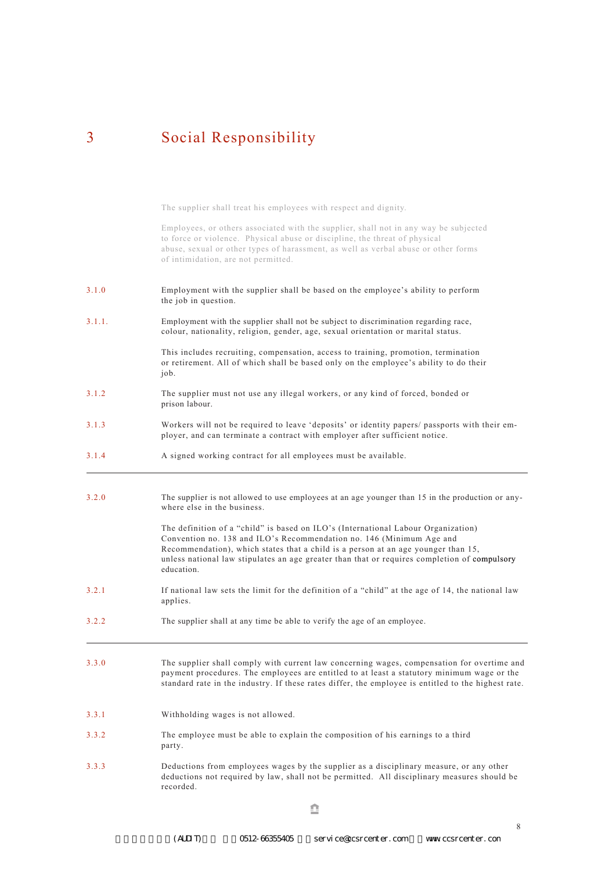### 3 Social Responsibility

The supplier shall treat his employees with respect and dignity.

3.1.0 3.1.1. 3.1.2 3.1.3 3.1.4 3.2.0 3.2.1 Employees, or others associated with the supplier, shall not in any way be subjected to force or violence. Physical abuse or discipline, the threat of physical abuse, sexual or other types of harassment, as well as verbal abuse or other forms of intimidation, are not permitted. Employment with the supplier shall be based on the employee's ability to perform the job in question. Employment with the supplier shall not be subject to discrimination regarding race, colour, nationality, religion, gender, age, sexual orientation or marital status. This includes recruiting, compensation, access to training, promotion, termination or retirement. All of which shall be based only on the employee's ability to do their job. The supplier must not use any illegal workers, or any kind of forced, bonded or prison labour. Workers will not be required to leave 'deposits' or identity papers/ passports with their employer, and can terminate a contract with employer after sufficient notice. A signed working contract for all employees must be available. The supplier is not allowed to use employees at an age younger than 15 in the production or anywhere else in the business. The definition of a "child" is based on ILO's (International Labour Organization) Convention no. 138 and ILO's Recommendation no. 146 (Minimum Age and Recommendation), which states that a child is a person at an age younger than 15, unless national law stipulates an age greater than that or requires completion of compulsory education. If national law sets the limit for the definition of a "child" at the age of 14, the national law applies.

- 3.2.2 The supplier shall at any time be able to verify the age of an employee.
- 3.3.0 The supplier shall comply with current law concerning wages, compensation for overtime and payment procedures. The employees are entitled to at least a statutory minimum wage or the standard rate in the industry. If these rates differ, the employee is entitled to the highest rate.
- 3.3.1 Withholding wages is not allowed.
- 3.3.2 The employee must be able to explain the composition of his earnings to a third party.
- 3.3.3 Deductions from employees wages by the supplier as a disciplinary measure, or any other deductions not required by law, shall not be permitted. All disciplinary measures should be recorded.

de la construcción de la propia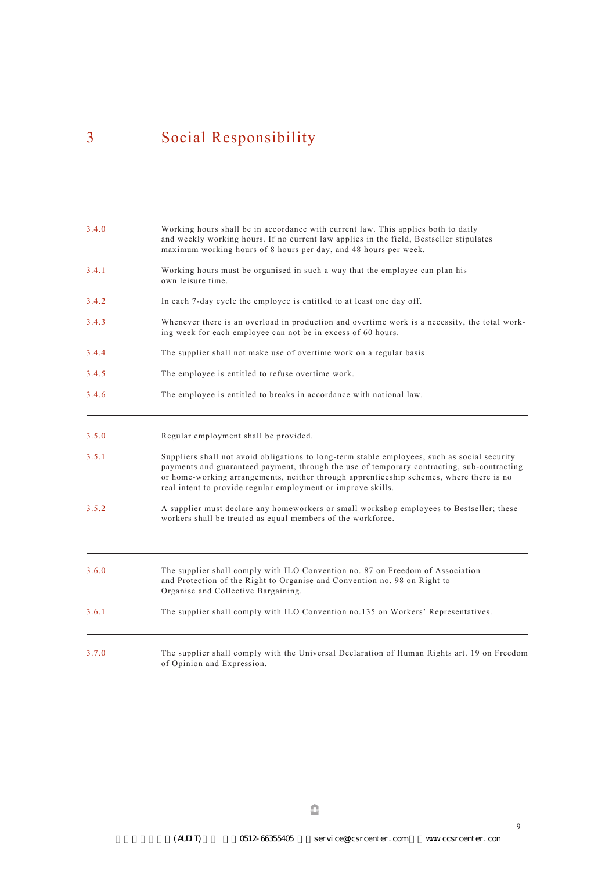# 3 Social Responsibility

| 3.4.0 | Working hours shall be in accordance with current law. This applies both to daily<br>and weekly working hours. If no current law applies in the field, Bestseller stipulates<br>maximum working hours of 8 hours per day, and 48 hours per week.                                                                                                      |
|-------|-------------------------------------------------------------------------------------------------------------------------------------------------------------------------------------------------------------------------------------------------------------------------------------------------------------------------------------------------------|
| 3.4.1 | Working hours must be organised in such a way that the employee can plan his<br>own leisure time.                                                                                                                                                                                                                                                     |
| 3.4.2 | In each 7-day cycle the employee is entitled to at least one day off.                                                                                                                                                                                                                                                                                 |
| 3.4.3 | Whenever there is an overload in production and overtime work is a necessity, the total work-<br>ing week for each employee can not be in excess of 60 hours.                                                                                                                                                                                         |
| 3.4.4 | The supplier shall not make use of overtime work on a regular basis.                                                                                                                                                                                                                                                                                  |
| 3.4.5 | The employee is entitled to refuse overtime work.                                                                                                                                                                                                                                                                                                     |
| 3.4.6 | The employee is entitled to breaks in accordance with national law.                                                                                                                                                                                                                                                                                   |
| 3.5.0 | Regular employment shall be provided.                                                                                                                                                                                                                                                                                                                 |
| 3.5.1 | Suppliers shall not avoid obligations to long-term stable employees, such as social security<br>payments and guaranteed payment, through the use of temporary contracting, sub-contracting<br>or home-working arrangements, neither through apprenticeship schemes, where there is no<br>real intent to provide regular employment or improve skills. |
| 3.5.2 | A supplier must declare any homeworkers or small workshop employees to Bestseller; these<br>workers shall be treated as equal members of the workforce.                                                                                                                                                                                               |
| 3.6.0 | The supplier shall comply with ILO Convention no. 87 on Freedom of Association<br>and Protection of the Right to Organise and Convention no. 98 on Right to<br>Organise and Collective Bargaining.                                                                                                                                                    |
| 3.6.1 | The supplier shall comply with ILO Convention no.135 on Workers' Representatives.                                                                                                                                                                                                                                                                     |
| 3.7.0 | The supplier shall comply with the Universal Declaration of Human Rights art. 19 on Freedom<br>of Opinion and Expression.                                                                                                                                                                                                                             |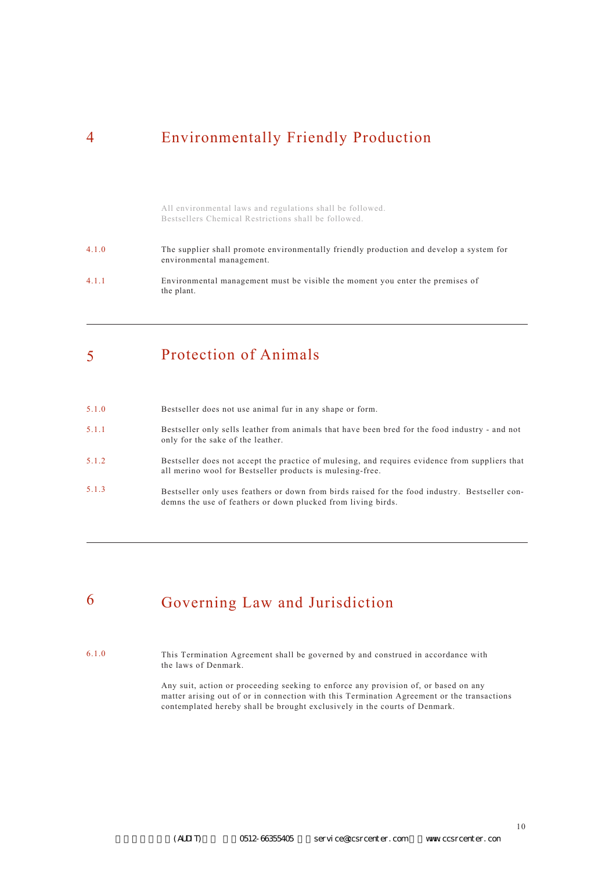## 4 Environmentally Friendly Production

All environmental laws and regulations shall be followed. Bestsellers Chemical Restrictions shall be followed.

| 4.1.0 | The supplier shall promote environmentally friendly production and develop a system for<br>environmental management. |
|-------|----------------------------------------------------------------------------------------------------------------------|
| 4.1.1 | Environmental management must be visible the moment you enter the premises of<br>the plant.                          |

#### 5 Protection of Animals

| 5.1.0 | Bestseller does not use animal fur in any shape or form.                                                                                                       |
|-------|----------------------------------------------------------------------------------------------------------------------------------------------------------------|
| 5.1.1 | Bestseller only sells leather from animals that have been bred for the food industry - and not<br>only for the sake of the leather.                            |
| 5.1.2 | Bestseller does not accept the practice of mulesing, and requires evidence from suppliers that<br>all merino wool for Bestseller products is mulesing-free.    |
| 5.1.3 | Bestseller only uses feathers or down from birds raised for the food industry. Bestseller con-<br>demns the use of feathers or down plucked from living birds. |

#### 6 Governing Law and Jurisdiction

6.1.0 This Termination Agreement shall be governed by and construed in accordance with the laws of Denmark.

> Any suit, action or proceeding seeking to enforce any provision of, or based on any matter arising out of or in connection with this Termination Agreement or the transactions contemplated hereby shall be brought exclusively in the courts of Denmark.

(AUDIT) 0512-66355405 service@ccsrcenter.com www.ccsrcenter.com